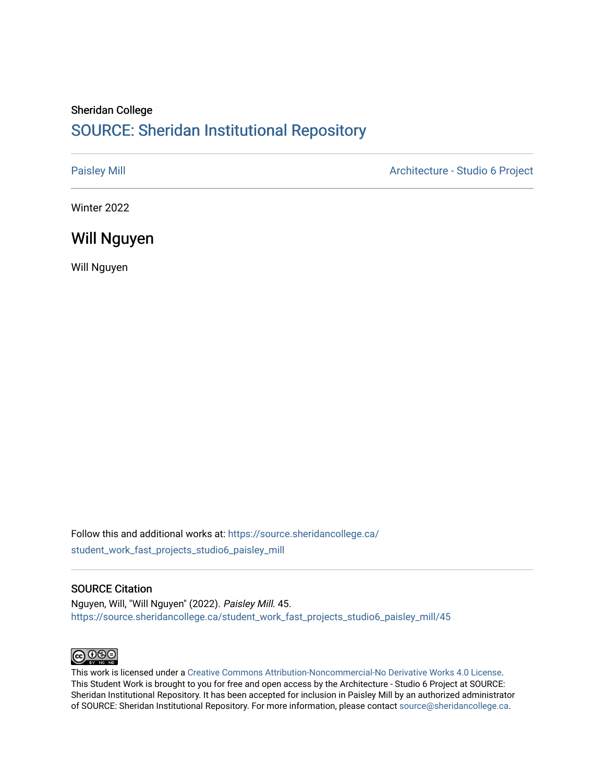#### Sheridan College [SOURCE: Sheridan Institutional Repository](https://source.sheridancollege.ca/)

[Paisley Mill](https://source.sheridancollege.ca/student_work_fast_projects_studio6_paisley_mill) **Architecture - Studio 6 Project** 

Winter 2022

#### Will Nguyen

Will Nguyen

Follow this and additional works at: [https://source.sheridancollege.ca/](https://source.sheridancollege.ca/student_work_fast_projects_studio6_paisley_mill?utm_source=source.sheridancollege.ca%2Fstudent_work_fast_projects_studio6_paisley_mill%2F45&utm_medium=PDF&utm_campaign=PDFCoverPages) [student\\_work\\_fast\\_projects\\_studio6\\_paisley\\_mill](https://source.sheridancollege.ca/student_work_fast_projects_studio6_paisley_mill?utm_source=source.sheridancollege.ca%2Fstudent_work_fast_projects_studio6_paisley_mill%2F45&utm_medium=PDF&utm_campaign=PDFCoverPages)

#### SOURCE Citation

Nguyen, Will, "Will Nguyen" (2022). Paisley Mill. 45. [https://source.sheridancollege.ca/student\\_work\\_fast\\_projects\\_studio6\\_paisley\\_mill/45](https://source.sheridancollege.ca/student_work_fast_projects_studio6_paisley_mill/45?utm_source=source.sheridancollege.ca%2Fstudent_work_fast_projects_studio6_paisley_mill%2F45&utm_medium=PDF&utm_campaign=PDFCoverPages)



This work is licensed under a [Creative Commons Attribution-Noncommercial-No Derivative Works 4.0 License.](https://creativecommons.org/licenses/by-nc-nd/4.0/) This Student Work is brought to you for free and open access by the Architecture - Studio 6 Project at SOURCE: Sheridan Institutional Repository. It has been accepted for inclusion in Paisley Mill by an authorized administrator of SOURCE: Sheridan Institutional Repository. For more information, please contact [source@sheridancollege.ca.](mailto:source@sheridancollege.ca)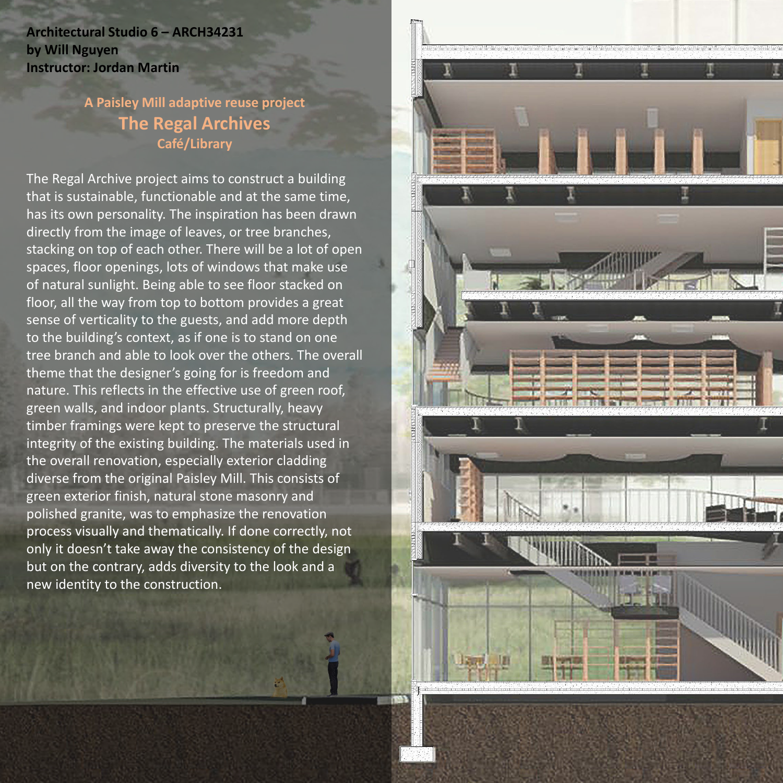**Architectural Studio 6 – ARCH34231 by Will Nguyen Instructor: Jordan Martin**

## **A Paisley Mill adaptive reuse project The Regal Archives Café/Library**

The Regal Archive project aims to construct a building that is sustainable, functionable and at the same time, has its own personality. The inspiration has been drawn directly from the image of leaves, or tree branches, stacking on top of each other. There will be a lot of open spaces, floor openings, lots of windows that make use of natural sunlight. Being able to see floor stacked on floor, all the way from top to bottom provides a great sense of verticality to the guests, and add more depth to the building's context, as if one is to stand on one tree branch and able to look over the others. The overall theme that the designer's going for is freedom and nature. This reflects in the effective use of green roof, green walls, and indoor plants. Structurally, heavy timber framings were kept to preserve the structural integrity of the existing building. The materials used in the overall renovation, especially exterior cladding diverse from the original Paisley Mill. This consists of green exterior finish, natural stone masonry and polished granite, was to emphasize the renovation process visually and thematically. If done correctly, not only it doesn't take away the consistency of the design but on the contrary, adds diversity to the look and a new identity to the construction.